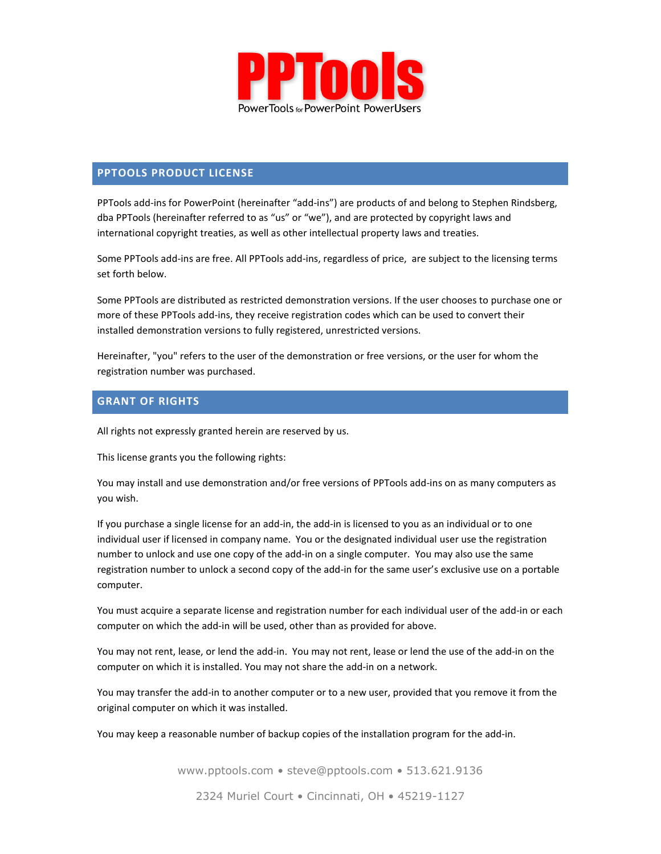

## **PPTOOLS PRODUCT LICENSE**

PPTools add-ins for PowerPoint (hereinafter "add-ins") are products of and belong to Stephen Rindsberg, dba PPTools (hereinafter referred to as "us" or "we"), and are protected by copyright laws and international copyright treaties, as well as other intellectual property laws and treaties.

Some PPTools add-ins are free. All PPTools add-ins, regardless of price, are subject to the licensing terms set forth below.

Some PPTools are distributed as restricted demonstration versions. If the user chooses to purchase one or more of these PPTools add-ins, they receive registration codes which can be used to convert their installed demonstration versions to fully registered, unrestricted versions.

Hereinafter, "you" refers to the user of the demonstration or free versions, or the user for whom the registration number was purchased.

## **GRANT OF RIGHTS**

All rights not expressly granted herein are reserved by us.

This license grants you the following rights:

You may install and use demonstration and/or free versions of PPTools add-ins on as many computers as you wish.

If you purchase a single license for an add-in, the add-in is licensed to you as an individual or to one individual user if licensed in company name. You or the designated individual user use the registration number to unlock and use one copy of the add-in on a single computer. You may also use the same registration number to unlock a second copy of the add-in for the same user's exclusive use on a portable computer.

You must acquire a separate license and registration number for each individual user of the add-in or each computer on which the add-in will be used, other than as provided for above.

You may not rent, lease, or lend the add-in. You may not rent, lease or lend the use of the add-in on the computer on which it is installed. You may not share the add-in on a network.

You may transfer the add-in to another computer or to a new user, provided that you remove it from the original computer on which it was installed.

You may keep a reasonable number of backup copies of the installation program for the add-in.

www.pptools.com • steve@pptools.com • 513.621.9136

2324 Muriel Court • Cincinnati, OH • 45219-1127